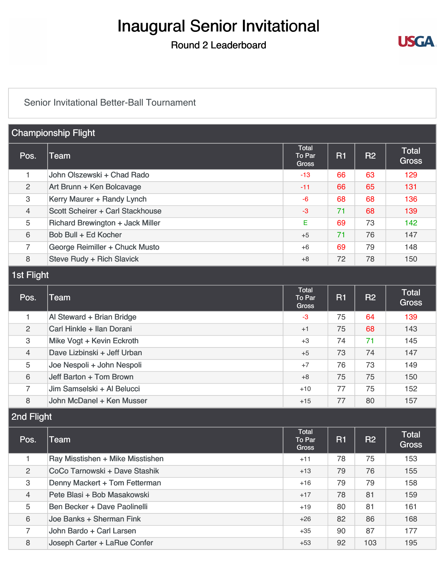# Inaugural Senior Invitational

## Round 2 Leaderboard



#### [Senior Invitational Better-Ball Tournament](https://static.golfgenius.com/v2tournaments/8499849441719635061?called_from=&round_index=2)

| <b>Championship Flight</b> |                                         |                                        |    |           |                              |
|----------------------------|-----------------------------------------|----------------------------------------|----|-----------|------------------------------|
| Pos.                       | Team                                    | <b>Total</b><br>To Par<br><b>Gross</b> | R1 | <b>R2</b> | <b>Total</b><br><b>Gross</b> |
| 1                          | John Olszewski + Chad Rado              | -13                                    | 66 | 63        | 129                          |
| 2                          | Art Brunn + Ken Bolcavage               | $-11$                                  | 66 | 65        | 131                          |
| 3                          | Kerry Maurer + Randy Lynch              | -6                                     | 68 | 68        | 136                          |
| $\overline{4}$             | Scott Scheirer + Carl Stackhouse        | $-3$                                   | 71 | 68        | 139                          |
| 5                          | <b>Richard Brewington + Jack Miller</b> | E                                      | 69 | 73        | 142                          |
| 6                          | Bob Bull + Ed Kocher                    | $+5$                                   | 71 | 76        | 147                          |
| $\overline{7}$             | George Reimiller + Chuck Musto          | $+6$                                   | 69 | 79        | 148                          |
| 8                          | Steve Rudy + Rich Slavick               | $+8$                                   | 72 | 78        | 150                          |

### 1st Flight

| Pos.           | Team                        | <b>Total</b><br>To Par<br><b>Gross</b> | R1 | R2 | <b>Total</b><br><b>Gross</b> |
|----------------|-----------------------------|----------------------------------------|----|----|------------------------------|
|                | Al Steward + Brian Bridge   | $-3$                                   | 75 | 64 | 139                          |
| 2              | Carl Hinkle + Ilan Dorani   | $+1$                                   | 75 | 68 | 143                          |
| 3              | Mike Vogt + Kevin Eckroth   | $+3$                                   | 74 | 71 | 145                          |
| $\overline{4}$ | Dave Lizbinski + Jeff Urban | $+5$                                   | 73 | 74 | 147                          |
| 5              | Joe Nespoli + John Nespoli  | $+7$                                   | 76 | 73 | 149                          |
| 6              | Jeff Barton + Tom Brown     | $+8$                                   | 75 | 75 | 150                          |
| $\overline{7}$ | Jim Samselski + Al Belucci  | $+10$                                  | 77 | 75 | 152                          |
| 8              | John McDanel + Ken Musser   | $+15$                                  | 77 | 80 | 157                          |

2nd Flight

| Pos.           | Team                             | Total<br>To Par<br><b>Gross</b> | R1 | R2  | <b>Total</b><br><b>Gross</b> |
|----------------|----------------------------------|---------------------------------|----|-----|------------------------------|
|                | Ray Misstishen + Mike Misstishen | $+11$                           | 78 | 75  | 153                          |
| $\overline{2}$ | CoCo Tarnowski + Dave Stashik    | $+13$                           | 79 | 76  | 155                          |
| 3              | Denny Mackert + Tom Fetterman    | $+16$                           | 79 | 79  | 158                          |
| $\overline{4}$ | Pete Blasi + Bob Masakowski      | $+17$                           | 78 | 81  | 159                          |
| 5              | Ben Becker + Dave Paolinelli     | $+19$                           | 80 | 81  | 161                          |
| 6              | Joe Banks + Sherman Fink         | $+26$                           | 82 | 86  | 168                          |
| $\overline{7}$ | John Bardo + Carl Larsen         | $+35$                           | 90 | 87  | 177                          |
| 8              | Joseph Carter + LaRue Confer     | $+53$                           | 92 | 103 | 195                          |